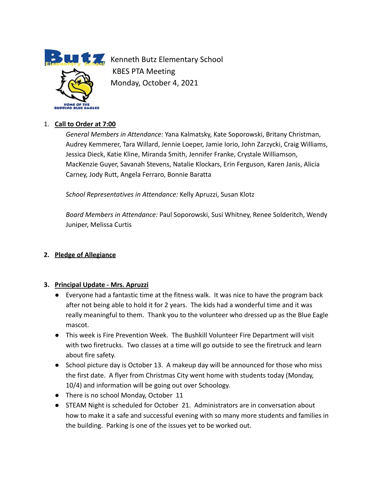

**Kenneth Butz Elementary School** KBES PTA Meeting Monday, October 4, 2021

## 1. **Call to Order at 7:00**

*General Members in Attendance:* Yana Kalmatsky, Kate Soporowski, Britany Christman, Audrey Kemmerer, Tara Willard, Jennie Loeper, Jamie Iorio, John Zarzycki, Craig Williams, Jessica Dieck, Katie Kline, Miranda Smith, Jennifer Franke, Crystale Williamson, MacKenzie Guyer, Savanah Stevens, Natalie Klockars, Erin Ferguson, Karen Janis, Alicia Carney, Jody Rutt, Angela Ferraro, Bonnie Baratta

*School Representatives in Attendance:* Kelly Apruzzi, Susan Klotz

*Board Members in Attendance:* Paul Soporowski, Susi Whitney, Renee Solderitch, Wendy Juniper, Melissa Curtis

#### **2. Pledge of Allegiance**

#### **3. Principal Update - Mrs. Apruzzi**

- Everyone had a fantastic time at the fitness walk. It was nice to have the program back after not being able to hold it for 2 years. The kids had a wonderful time and it was really meaningful to them. Thank you to the volunteer who dressed up as the Blue Eagle mascot.
- This week is Fire Prevention Week. The Bushkill Volunteer Fire Department will visit with two firetrucks. Two classes at a time will go outside to see the firetruck and learn about fire safety.
- School picture day is October 13. A makeup day will be announced for those who miss the first date. A flyer from Christmas City went home with students today (Monday, 10/4) and information will be going out over Schoology.
- There is no school Monday, October 11
- STEAM Night is scheduled for October 21. Administrators are in conversation about how to make it a safe and successful evening with so many more students and families in the building. Parking is one of the issues yet to be worked out.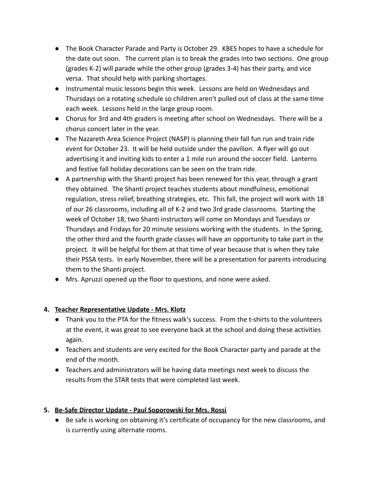- The Book Character Parade and Party is October 29. KBES hopes to have a schedule for the date out soon. The current plan is to break the grades into two sections. One group (grades K-2) will parade while the other group (grades 3-4) has their party, and vice versa. That should help with parking shortages.
- Instrumental music lessons begin this week. Lessons are held on Wednesdays and Thursdays on a rotating schedule so children aren't pulled out of class at the same time each week. Lessons held in the large group room.
- Chorus for 3rd and 4th graders is meeting after school on Wednesdays. There will be a chorus concert later in the year.
- The Nazareth Area Science Project (NASP) is planning their fall fun run and train ride event for October 23. It will be held outside under the pavilion. A flyer will go out advertising it and inviting kids to enter a 1 mile run around the soccer field. Lanterns and festive fall holiday decorations can be seen on the train ride.
- A partnership with the Shanti project has been renewed for this year, through a grant they obtained. The Shanti project teaches students about mindfulness, emotional regulation, stress relief, breathing strategies, etc. This fall, the project will work with 18 of our 26 classrooms, including all of K-2 and two 3rd grade classrooms. Starting the week of October 18, two Shanti instructors will come on Mondays and Tuesdays or Thursdays and Fridays for 20 minute sessions working with the students. In the Spring, the other third and the fourth grade classes will have an opportunity to take part in the project. It will be helpful for them at that time of year because that is when they take their PSSA tests. In early November, there will be a presentation for parents introducing them to the Shanti project.
- Mrs. Apruzzi opened up the floor to questions, and none were asked.

# **4. Teacher Representative Update - Mrs. Klotz**

- Thank you to the PTA for the fitness walk's success. From the t-shirts to the volunteers at the event, it was great to see everyone back at the school and doing these activities again.
- Teachers and students are very excited for the Book Character party and parade at the end of the month.
- Teachers and administrators will be having data meetings next week to discuss the results from the STAR tests that were completed last week.

# **5. Be-Safe Director Update - Paul Soporowski for Mrs. Rossi**

● Be safe is working on obtaining it's certificate of occupancy for the new classrooms, and is currently using alternate rooms.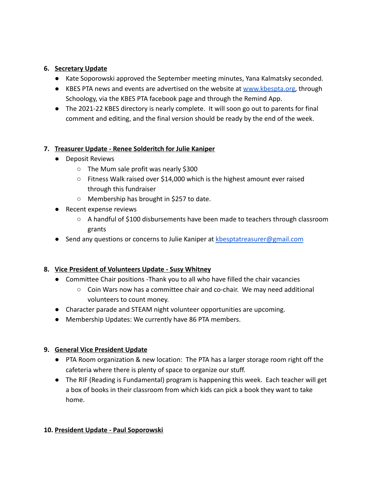## **6. Secretary Update**

- Kate Soporowski approved the September meeting minutes, Yana Kalmatsky seconded.
- KBES PTA news and events are advertised on the website at [www.kbespta.org,](http://www.kbespta.org) through Schoology, via the KBES PTA facebook page and through the Remind App.
- The 2021-22 KBES directory is nearly complete. It will soon go out to parents for final comment and editing, and the final version should be ready by the end of the week.

## **7. Treasurer Update - Renee Solderitch for Julie Kaniper**

- Deposit Reviews
	- The Mum sale profit was nearly \$300
	- Fitness Walk raised over \$14,000 which is the highest amount ever raised through this fundraiser
	- Membership has brought in \$257 to date.
- Recent expense reviews
	- A handful of \$100 disbursements have been made to teachers through classroom grants
- Send any questions or concerns to Julie Kaniper at [kbesptatreasurer@gmail.com](mailto:kbesptatreasurer@gmail.com)

# **8. Vice President of Volunteers Update - Susy Whitney**

- Committee Chair positions -Thank you to all who have filled the chair vacancies
	- Coin Wars now has a committee chair and co-chair. We may need additional volunteers to count money.
- Character parade and STEAM night volunteer opportunities are upcoming.
- Membership Updates: We currently have 86 PTA members.

#### **9. General Vice President Update**

- PTA Room organization & new location: The PTA has a larger storage room right off the cafeteria where there is plenty of space to organize our stuff.
- The RIF (Reading is Fundamental) program is happening this week. Each teacher will get a box of books in their classroom from which kids can pick a book they want to take home.

#### **10. President Update - Paul Soporowski**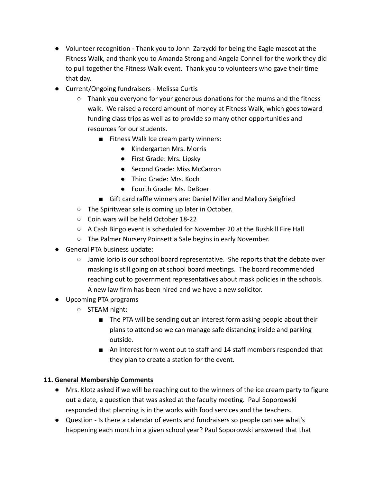- Volunteer recognition Thank you to John Zarzycki for being the Eagle mascot at the Fitness Walk, and thank you to Amanda Strong and Angela Connell for the work they did to pull together the Fitness Walk event. Thank you to volunteers who gave their time that day.
- Current/Ongoing fundraisers Melissa Curtis
	- Thank you everyone for your generous donations for the mums and the fitness walk. We raised a record amount of money at Fitness Walk, which goes toward funding class trips as well as to provide so many other opportunities and resources for our students.
		- Fitness Walk Ice cream party winners:
			- Kindergarten Mrs. Morris
			- First Grade: Mrs. Lipsky
			- Second Grade: Miss McCarron
			- Third Grade: Mrs. Koch
			- Fourth Grade: Ms. DeBoer
		- Gift card raffle winners are: Daniel Miller and Mallory Seigfried
	- The Spiritwear sale is coming up later in October.
	- Coin wars will be held October 18-22
	- A Cash Bingo event is scheduled for November 20 at the Bushkill Fire Hall
	- The Palmer Nursery Poinsettia Sale begins in early November.
- General PTA business update:
	- $\circ$  Jamie Iorio is our school board representative. She reports that the debate over masking is still going on at school board meetings. The board recommended reaching out to government representatives about mask policies in the schools. A new law firm has been hired and we have a new solicitor.
- Upcoming PTA programs
	- STEAM night:
		- The PTA will be sending out an interest form asking people about their plans to attend so we can manage safe distancing inside and parking outside.
		- An interest form went out to staff and 14 staff members responded that they plan to create a station for the event.

# **11. General Membership Comments**

- Mrs. Klotz asked if we will be reaching out to the winners of the ice cream party to figure out a date, a question that was asked at the faculty meeting. Paul Soporowski responded that planning is in the works with food services and the teachers.
- Question Is there a calendar of events and fundraisers so people can see what's happening each month in a given school year? Paul Soporowski answered that that